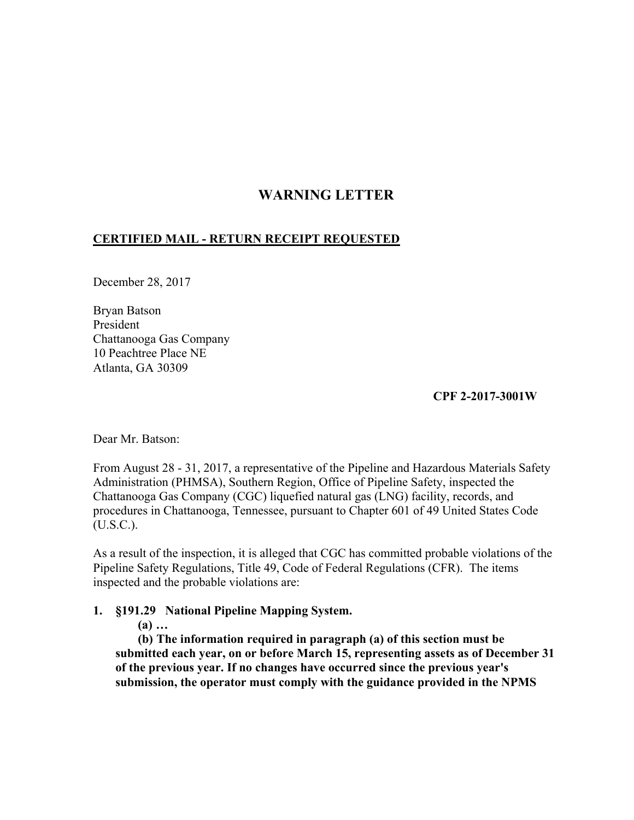# **WARNING LETTER**

## **CERTIFIED MAIL - RETURN RECEIPT REQUESTED**

December 28, 2017

Bryan Batson President Chattanooga Gas Company 10 Peachtree Place NE Atlanta, GA 30309

**CPF 2-2017-3001W** 

Dear Mr. Batson:

From August 28 - 31, 2017, a representative of the Pipeline and Hazardous Materials Safety Administration (PHMSA), Southern Region, Office of Pipeline Safety, inspected the Chattanooga Gas Company (CGC) liquefied natural gas (LNG) facility, records, and procedures in Chattanooga, Tennessee, pursuant to Chapter 601 of 49 United States Code (U.S.C.).

As a result of the inspection, it is alleged that CGC has committed probable violations of the Pipeline Safety Regulations, Title 49, Code of Federal Regulations (CFR). The items inspected and the probable violations are:

## **1. §191.29 National Pipeline Mapping System.**

**(a) …** 

**(b) The information required in paragraph (a) of this section must be submitted each year, on or before March 15, representing assets as of December 31 of the previous year. If no changes have occurred since the previous year's submission, the operator must comply with the guidance provided in the NPMS**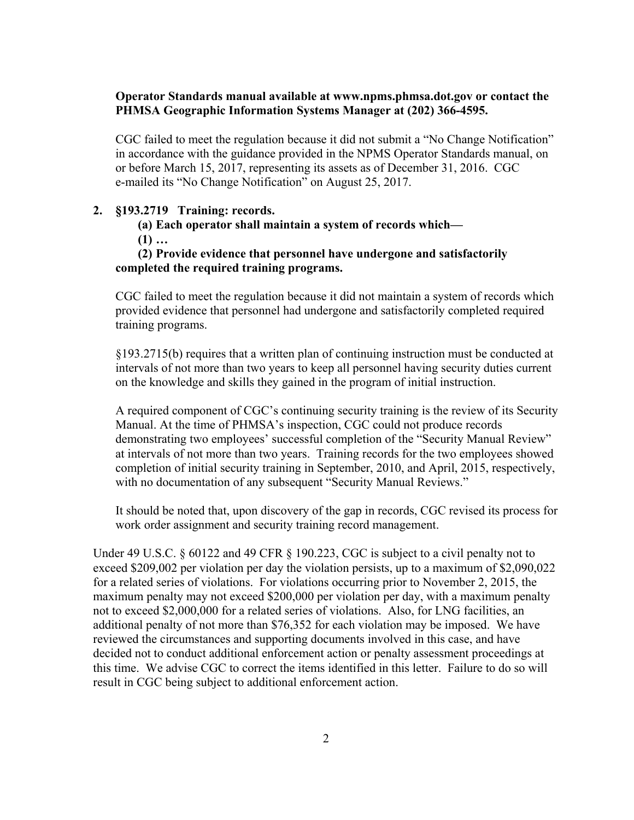## **Operator Standards manual available at www.npms.phmsa.dot.gov or contact the PHMSA Geographic Information Systems Manager at (202) 366-4595.**

CGC failed to meet the regulation because it did not submit a "No Change Notification" in accordance with the guidance provided in the NPMS Operator Standards manual, on or before March 15, 2017, representing its assets as of December 31, 2016. CGC e-mailed its "No Change Notification" on August 25, 2017.

#### **2. §193.2719 Training: records.**

**(a) Each operator shall maintain a system of records which—** 

**(1) …** 

#### **(2) Provide evidence that personnel have undergone and satisfactorily completed the required training programs.**

CGC failed to meet the regulation because it did not maintain a system of records which provided evidence that personnel had undergone and satisfactorily completed required training programs.

§193.2715(b) requires that a written plan of continuing instruction must be conducted at intervals of not more than two years to keep all personnel having security duties current on the knowledge and skills they gained in the program of initial instruction.

A required component of CGC's continuing security training is the review of its Security Manual. At the time of PHMSA's inspection, CGC could not produce records demonstrating two employees' successful completion of the "Security Manual Review" at intervals of not more than two years. Training records for the two employees showed completion of initial security training in September, 2010, and April, 2015, respectively, with no documentation of any subsequent "Security Manual Reviews."

It should be noted that, upon discovery of the gap in records, CGC revised its process for work order assignment and security training record management.

Under 49 U.S.C. § 60122 and 49 CFR § 190.223, CGC is subject to a civil penalty not to exceed \$209,002 per violation per day the violation persists, up to a maximum of \$2,090,022 for a related series of violations. For violations occurring prior to November 2, 2015, the maximum penalty may not exceed \$200,000 per violation per day, with a maximum penalty not to exceed \$2,000,000 for a related series of violations. Also, for LNG facilities, an additional penalty of not more than \$76,352 for each violation may be imposed. We have reviewed the circumstances and supporting documents involved in this case, and have decided not to conduct additional enforcement action or penalty assessment proceedings at this time. We advise CGC to correct the items identified in this letter. Failure to do so will result in CGC being subject to additional enforcement action.